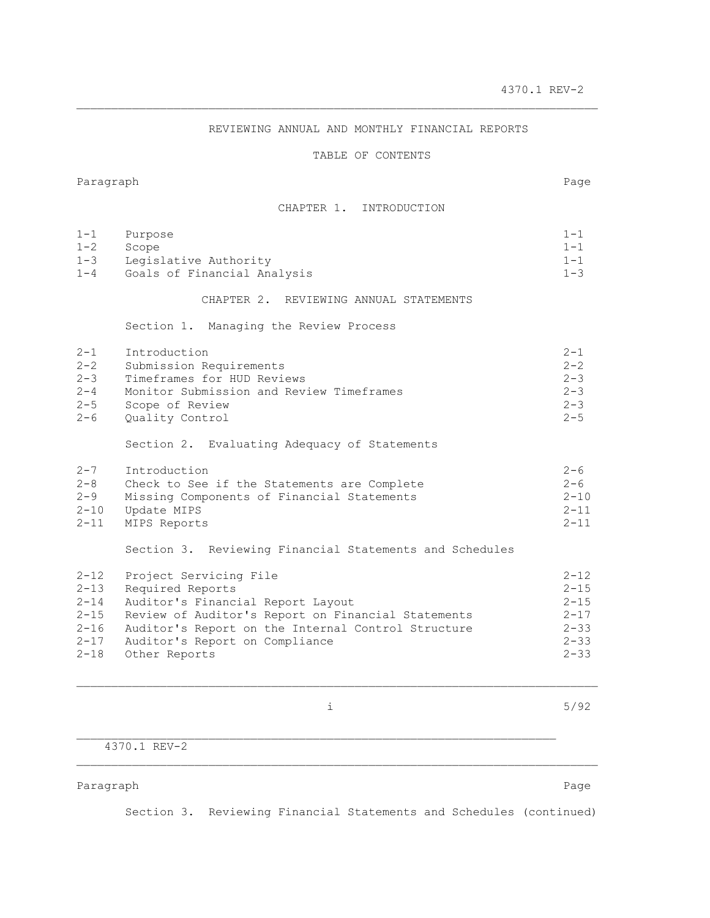## REVIEWING ANNUAL AND MONTHLY FINANCIAL REPORTS

\_\_\_\_\_\_\_\_\_\_\_\_\_\_\_\_\_\_\_\_\_\_\_\_\_\_\_\_\_\_\_\_\_\_\_\_\_\_\_\_\_\_\_\_\_\_\_\_\_\_\_\_\_\_\_\_\_\_\_\_\_\_\_\_\_\_\_\_\_\_\_\_\_\_\_

## TABLE OF CONTENTS

#### Paragraph Page

## CHAPTER 1. INTRODUCTION

| $1 - 1$  | Purpose                                                 | $1 - 1$  |
|----------|---------------------------------------------------------|----------|
| $1 - 2$  | Scope                                                   | $1 - 1$  |
| $1 - 3$  | Legislative Authority                                   | $1 - 1$  |
| $1 - 4$  | Goals of Financial Analysis                             | $1 - 3$  |
|          | CHAPTER 2. REVIEWING ANNUAL STATEMENTS                  |          |
|          | Section 1. Managing the Review Process                  |          |
| $2 - 1$  | Introduction                                            | $2 - 1$  |
| $2 - 2$  | Submission Requirements                                 | $2 - 2$  |
| $2 - 3$  | Timeframes for HUD Reviews                              | $2 - 3$  |
| $2 - 4$  | Monitor Submission and Review Timeframes                | $2 - 3$  |
| $2 - 5$  | Scope of Review                                         | $2 - 3$  |
| $2 - 6$  | Quality Control                                         | $2 - 5$  |
|          | Section 2. Evaluating Adequacy of Statements            |          |
| $2 - 7$  | Introduction                                            | $2 - 6$  |
| $2 - 8$  | Check to See if the Statements are Complete             | $2 - 6$  |
| $2 - 9$  | Missing Components of Financial Statements              | $2 - 10$ |
| $2 - 10$ | Update MIPS                                             | $2 - 11$ |
| $2 - 11$ | MIPS Reports                                            | $2 - 11$ |
|          | Section 3. Reviewing Financial Statements and Schedules |          |
| $2 - 12$ | Project Servicing File                                  | $2 - 12$ |
| $2 - 13$ | Required Reports                                        | $2 - 15$ |
| $2 - 14$ | Auditor's Financial Report Layout                       | $2 - 15$ |
| $2 - 15$ | Review of Auditor's Report on Financial Statements      | $2 - 17$ |
| $2 - 16$ | Auditor's Report on the Internal Control Structure      | $2 - 33$ |
| $2 - 17$ | Auditor's Report on Compliance                          | $2 - 33$ |
| $2 - 18$ | Other Reports                                           | $2 - 33$ |

 $\mathcal{L}_\text{max}$ 

i 5/92

4370.1 REV-2

Paragraph **Paragraph** Page 2014 and 2014 and 2014 and 2014 and 2014 and 2014 and 2014 and 2014 and 2014 and 2014 and 2014 and 2014 and 2014 and 2014 and 2014 and 2014 and 2014 and 2014 and 2014 and 2014 and 2014 and 2014 a

Section 3. Reviewing Financial Statements and Schedules (continued)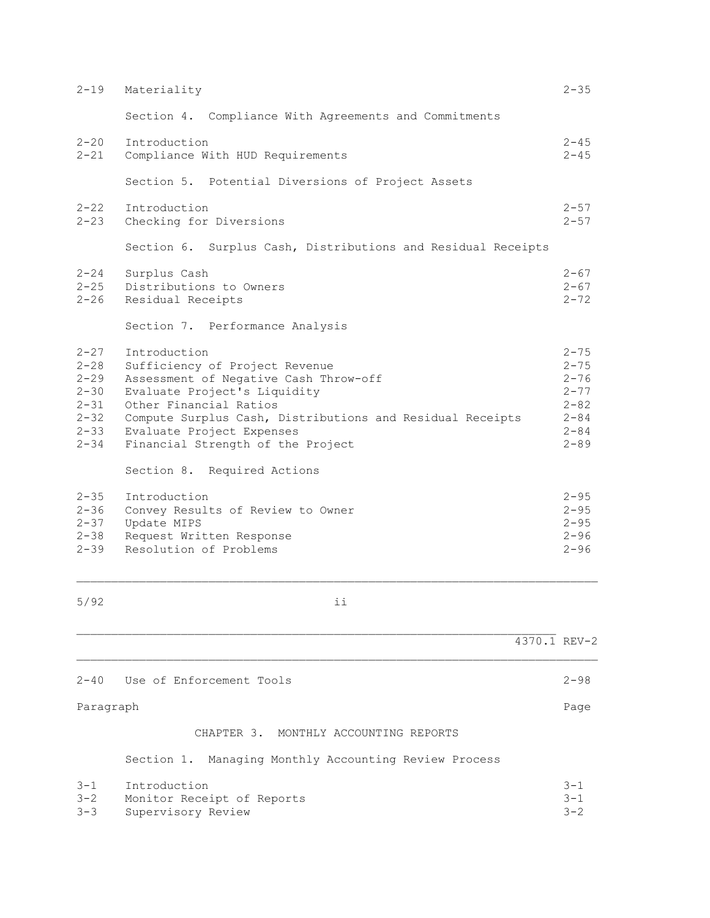| $2 - 19$                                                                                     | Materiality                                                                                                                                                                                                                                                                      | $2 - 35$                                                                                     |
|----------------------------------------------------------------------------------------------|----------------------------------------------------------------------------------------------------------------------------------------------------------------------------------------------------------------------------------------------------------------------------------|----------------------------------------------------------------------------------------------|
|                                                                                              | Compliance With Agreements and Commitments<br>Section 4.                                                                                                                                                                                                                         |                                                                                              |
| $2 - 20$<br>$2 - 21$                                                                         | Introduction<br>Compliance With HUD Requirements                                                                                                                                                                                                                                 | $2 - 45$<br>$2 - 45$                                                                         |
|                                                                                              | Section 5. Potential Diversions of Project Assets                                                                                                                                                                                                                                |                                                                                              |
| $2 - 22$<br>$2 - 23$                                                                         | Introduction<br>Checking for Diversions                                                                                                                                                                                                                                          | $2 - 57$<br>$2 - 57$                                                                         |
|                                                                                              | Section 6. Surplus Cash, Distributions and Residual Receipts                                                                                                                                                                                                                     |                                                                                              |
| $2 - 24$<br>$2 - 25$<br>$2 - 26$                                                             | Surplus Cash<br>Distributions to Owners<br>Residual Receipts                                                                                                                                                                                                                     | $2 - 67$<br>$2 - 67$<br>$2 - 72$                                                             |
|                                                                                              | Section 7. Performance Analysis                                                                                                                                                                                                                                                  |                                                                                              |
| $2 - 27$<br>$2 - 28$<br>$2 - 29$<br>$2 - 30$<br>$2 - 31$<br>$2 - 32$<br>$2 - 33$<br>$2 - 34$ | Introduction<br>Sufficiency of Project Revenue<br>Assessment of Negative Cash Throw-off<br>Evaluate Project's Liquidity<br>Other Financial Ratios<br>Compute Surplus Cash, Distributions and Residual Receipts<br>Evaluate Project Expenses<br>Financial Strength of the Project | $2 - 75$<br>$2 - 75$<br>$2 - 76$<br>$2 - 77$<br>$2 - 82$<br>$2 - 84$<br>$2 - 84$<br>$2 - 89$ |
|                                                                                              | Section 8. Required Actions                                                                                                                                                                                                                                                      |                                                                                              |
| $2 - 35$<br>$2 - 36$<br>$2 - 37$<br>$2 - 38$<br>$2 - 39$                                     | Introduction<br>Convey Results of Review to Owner<br>Update MIPS<br>Request Written Response<br>Resolution of Problems                                                                                                                                                           | $2 - 95$<br>$2 - 95$<br>$2 - 95$<br>$2 - 96$<br>$2 - 96$                                     |
| 5/92                                                                                         | ii                                                                                                                                                                                                                                                                               |                                                                                              |
|                                                                                              |                                                                                                                                                                                                                                                                                  | $4370.1$ REV-2                                                                               |
|                                                                                              |                                                                                                                                                                                                                                                                                  |                                                                                              |

Paragraph Page CHAPTER 3. MONTHLY ACCOUNTING REPORTS

2-40 Use of Enforcement Tools 2-98

Section 1. Managing Monthly Accounting Review Process

| 3-1 Introduction               | $3 - 1$ |
|--------------------------------|---------|
| 3-2 Monitor Receipt of Reports | $3 - 1$ |
| 3-3 Supervisory Review         | $3 - 2$ |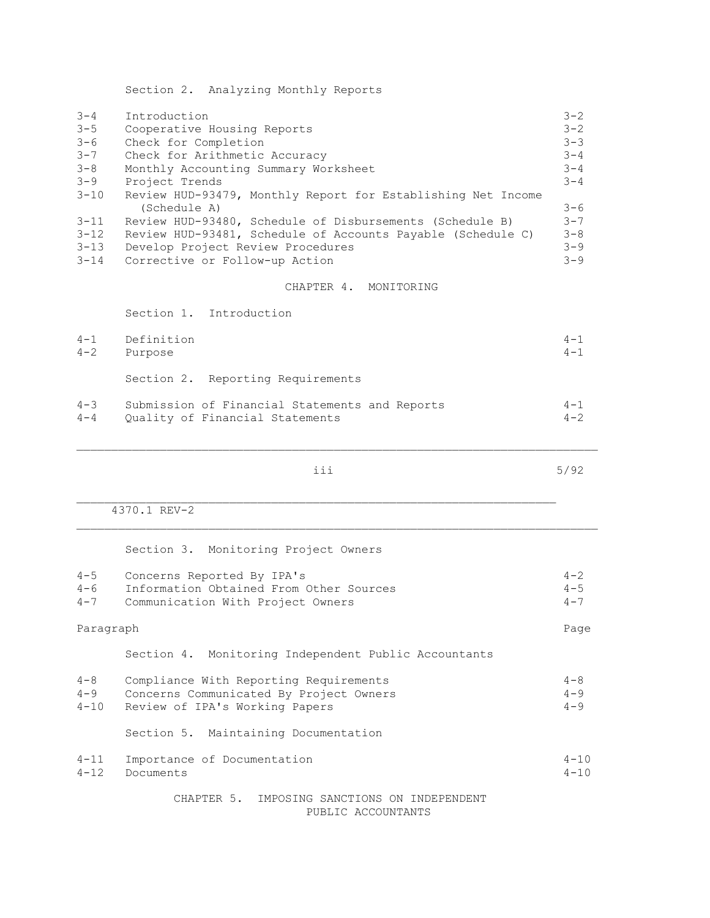Section 2. Analyzing Monthly Reports

| $3 - 4$  | Introduction                                                 | $3 - 2$ |
|----------|--------------------------------------------------------------|---------|
| $3 - 5$  | Cooperative Housing Reports                                  | $3 - 2$ |
| $3 - 6$  | Check for Completion                                         | $3 - 3$ |
| $3 - 7$  | Check for Arithmetic Accuracy                                | $3 - 4$ |
| $3 - 8$  | Monthly Accounting Summary Worksheet                         | $3 - 4$ |
| $3 - 9$  | Project Trends                                               | $3 - 4$ |
| $3 - 10$ | Review HUD-93479, Monthly Report for Establishing Net Income |         |
|          | (Schedule A)                                                 | $3 - 6$ |
| $3 - 11$ | Review HUD-93480, Schedule of Disbursements (Schedule B)     | $3 - 7$ |
| $3 - 12$ | Review HUD-93481, Schedule of Accounts Payable (Schedule C)  | $3 - 8$ |
| $3 - 13$ | Develop Project Review Procedures                            | $3 - 9$ |
| $3 - 14$ | Corrective or Follow-up Action                               | $3 - 9$ |
|          |                                                              |         |

# CHAPTER 4. MONITORING

Section 1. Introduction

| $4 - 1$ | Definition                                     | $4 - 1$ |
|---------|------------------------------------------------|---------|
| $4 - 2$ | Purpose                                        | $4 - 1$ |
|         | Section 2. Reporting Requirements              |         |
| $4 - 3$ | Submission of Financial Statements and Reports | $4 - 1$ |
| $4 - 4$ | Ouality of Financial Statements                | $4 - 2$ |

\_\_\_\_\_\_\_\_\_\_\_\_\_\_\_\_\_\_\_\_\_\_\_\_\_\_\_\_\_\_\_\_\_\_\_\_\_\_\_\_\_\_\_\_\_\_\_\_\_\_\_\_\_\_\_\_\_\_\_\_\_\_\_\_\_\_\_\_\_\_\_\_\_\_\_

iii 5/92

4370.1 REV-2

Section 3. Monitoring Project Owners

| $4 - 5$<br>$4 - 6$<br>$4 - 7$  | Concerns Reported By IPA's<br>Information Obtained From Other Sources<br>Communication With Project Owners          | $4 - 2$<br>$4 - 5$<br>$4 - 7$ |  |
|--------------------------------|---------------------------------------------------------------------------------------------------------------------|-------------------------------|--|
|                                | Paragraph                                                                                                           |                               |  |
|                                | Section 4. Monitoring Independent Public Accountants                                                                |                               |  |
| $4 - 8$<br>$4 - 9$<br>$4 - 10$ | Compliance With Reporting Requirements<br>Concerns Communicated By Project Owners<br>Review of IPA's Working Papers | $4 - 8$<br>$4 - 9$<br>$4 - 9$ |  |
|                                | Section 5. Maintaining Documentation                                                                                |                               |  |
| $4 - 11$<br>$4 - 12$           | Importance of Documentation<br>Documents                                                                            | $4 - 10$<br>$4 - 10$          |  |
|                                | CHAPTER 5. IMPOSING SANCTIONS ON INDEPENDENT                                                                        |                               |  |

PUBLIC ACCOUNTANTS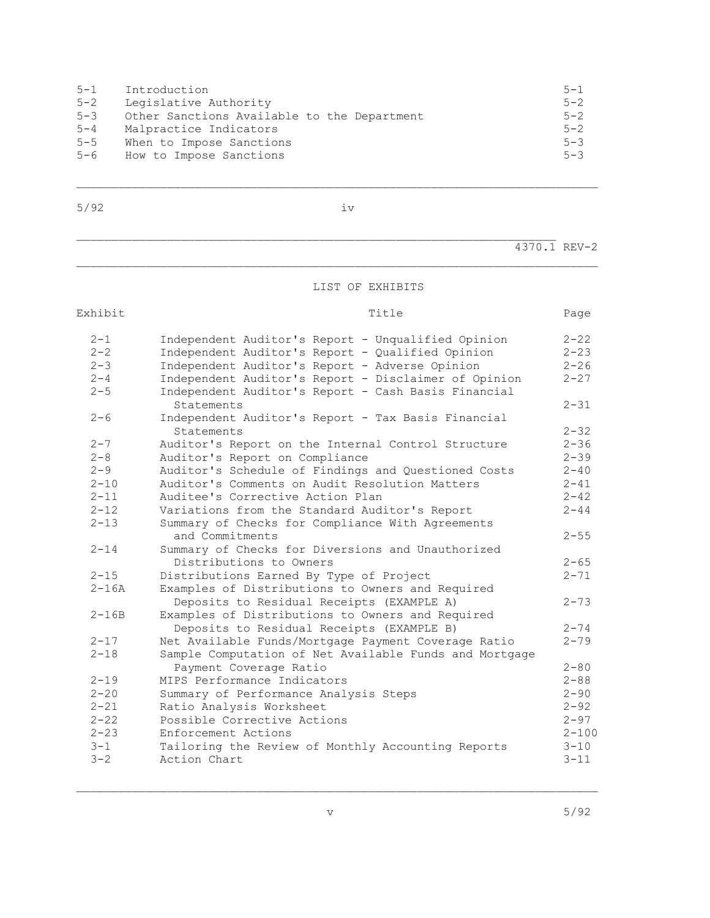| $5 - 1$ | Introduction                                | $5 - 1$ |
|---------|---------------------------------------------|---------|
| $5 - 2$ | Legislative Authority                       | $5 - 2$ |
| $5 - 3$ | Other Sanctions Available to the Department | $5 - 2$ |
| $5 - 4$ | Malpractice Indicators                      | $5 - 2$ |
| $5 - 5$ | When to Impose Sanctions                    | $5 - 3$ |
| $5 - 6$ | How to Impose Sanctions                     | $5 - 3$ |

5/92 iv

\_\_\_\_\_\_\_\_\_\_\_\_\_\_\_\_\_\_\_\_\_\_\_\_\_\_\_\_\_\_\_\_\_\_\_\_\_\_\_\_\_\_\_\_\_\_\_\_\_\_\_\_\_\_\_\_\_\_\_\_\_\_\_\_\_\_\_\_\_\_\_\_\_\_\_

4370.1 REV-2

## LIST OF EXHIBITS

## Exhibit Title Page 2-1 Independent Auditor's Report - Unqualified Opinion 2-22 2-2 Independent Auditor's Report - Qualified Opinion 2-23 2-3 Independent Auditor's Report - Adverse Opinion 2-26<br>2-4 Independent Auditor's Report - Disclaimer of Opinion 2-27 2-4 Independent Auditor's Report - Disclaimer of Opinion 2-27 2-5 Independent Auditor's Report - Cash Basis Financial Statements 2-31 2-6 Independent Auditor's Report - Tax Basis Financial Statements 2-32 2-7 Auditor's Report on the Internal Control Structure 2-36 2-8 Auditor's Report on Compliance<br>2-9 Auditor's Schedule of Findings and Questioned Costs 2-40 Auditor's Schedule of Findings and Questioned Costs 2-40 2-10 Auditor's Comments on Audit Resolution Matters 2-41<br>2-11 Auditee's Corrective Action Plan 2-42 Auditee's Corrective Action Plan 2-12 Variations from the Standard Auditor's Report 2-44 2-13 Summary of Checks for Compliance With Agreements and Commitments<br>2-14 Summary of Checks for Diversions and Unauthorized 2-55 Summary of Checks for Diversions and Unauthorized Distributions to Owners 2-65 2-15 Distributions Earned By Type of Project 2-71 2-16A Examples of Distributions to Owners and Required Deposits to Residual Receipts (EXAMPLE A) 2-73 2-16B Examples of Distributions to Owners and Required Deposits to Residual Receipts (EXAMPLE B) 2-74<br>t Available Funds/Mortgage Payment Coverage Ratio 2-79 2-17 Net Available Funds/Mortgage Payment Coverage Ratio 2-18 Sample Computation of Net Available Funds and Mortgage Payment Coverage Ratio 2-80 2-19 MIPS Performance Indicators 2-88 2-20 Summary of Performance Analysis Steps 2-90 2-21 Ratio Analysis Worksheet 2-92 2-22 Possible Corrective Actions 2-97 Enforcement Actions 3-1 Tailoring the Review of Monthly Accounting Reports 3-10 3-2 Action Chart 3-11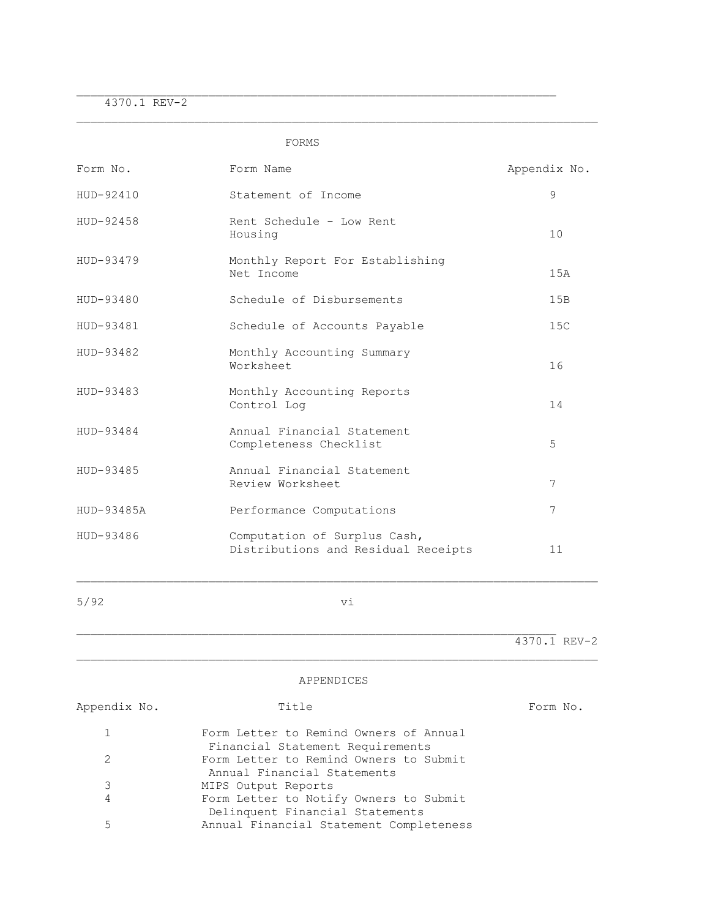4370.1 REV-2

FORMS

 $\mathcal{L}_\text{max}$ 

| Form No.     | Form Name                                                           | Appendix No.   |
|--------------|---------------------------------------------------------------------|----------------|
| HUD-92410    | Statement of Income                                                 | 9              |
| HUD-92458    | Rent Schedule - Low Rent<br>Housing                                 | 10             |
| HUD-93479    | Monthly Report For Establishing<br>Net Income                       | 1.5A           |
| HUD-93480    | Schedule of Disbursements                                           | 15B            |
| HUD-93481    | Schedule of Accounts Payable                                        | 15C            |
| HUD-93482    | Monthly Accounting Summary<br>Worksheet                             | 16             |
| HUD-93483    | Monthly Accounting Reports<br>Control Log                           | 14             |
| HUD-93484    | Annual Financial Statement<br>Completeness Checklist                | 5              |
| HUD-93485    | Annual Financial Statement<br>Review Worksheet                      | 7              |
| HUD-93485A   | Performance Computations                                            | 7              |
| HUD-93486    | Computation of Surplus Cash,<br>Distributions and Residual Receipts | 11             |
| 5/92         | vi                                                                  |                |
|              |                                                                     | $4370.1$ REV-2 |
|              | APPENDICES                                                          |                |
| Appendix No. | Title                                                               | Form No.       |

| $\mathbf{1}$ | Form Letter to Remind Owners of Annual  |
|--------------|-----------------------------------------|
|              | Financial Statement Requirements        |
| 2            | Form Letter to Remind Owners to Submit  |
|              | Annual Financial Statements             |
| 3            | MIPS Output Reports                     |
| 4            | Form Letter to Notify Owners to Submit  |
|              | Delinquent Financial Statements         |
| 5            | Annual Financial Statement Completeness |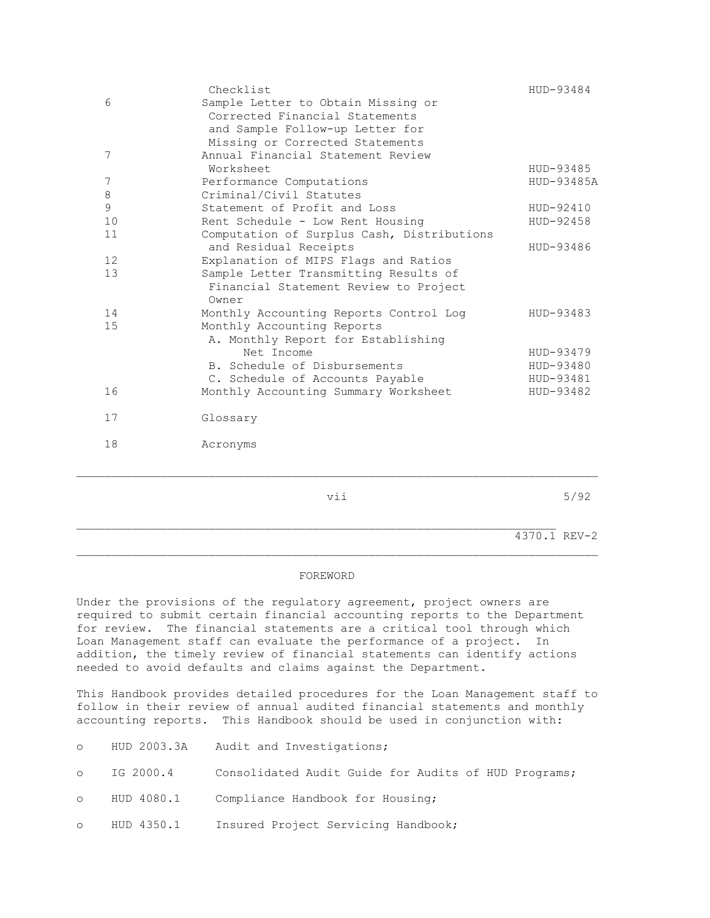|                 | Checklist                                  | HUD-93484  |
|-----------------|--------------------------------------------|------------|
| 6               | Sample Letter to Obtain Missing or         |            |
|                 | Corrected Financial Statements             |            |
|                 | and Sample Follow-up Letter for            |            |
|                 | Missing or Corrected Statements            |            |
| 7               | Annual Financial Statement Review          |            |
|                 | Worksheet                                  | HUD-93485  |
| 7               | Performance Computations                   | HUD-93485A |
| 8               | Criminal/Civil Statutes                    |            |
| $\mathsf 9$     | Statement of Profit and Loss               | HUD-92410  |
| 10              | Rent Schedule - Low Rent Housing           | HUD-92458  |
| 11              | Computation of Surplus Cash, Distributions |            |
|                 | and Residual Receipts                      | HUD-93486  |
| 12 <sup>°</sup> | Explanation of MIPS Flags and Ratios       |            |
| 13              | Sample Letter Transmitting Results of      |            |
|                 | Financial Statement Review to Project      |            |
|                 | Owner                                      |            |
| 14              | Monthly Accounting Reports Control Log     | HUD-93483  |
| 15              | Monthly Accounting Reports                 |            |
|                 | A. Monthly Report for Establishing         |            |
|                 | Net Income                                 | HUD-93479  |
|                 | B. Schedule of Disbursements               | HUD-93480  |
|                 | C. Schedule of Accounts Payable            | HUD-93481  |
| 16              | Monthly Accounting Summary Worksheet       | HUD-93482  |
|                 |                                            |            |
| 17              | Glossary                                   |            |
|                 |                                            |            |
| 18              | Acronyms                                   |            |
|                 |                                            |            |

 $\mathcal{L}_\text{max}$ 

\_\_\_\_\_\_\_\_\_\_\_\_\_\_\_\_\_\_\_\_\_\_\_\_\_\_\_\_\_\_\_\_\_\_\_\_\_\_\_\_\_\_\_\_\_\_\_\_\_\_\_\_\_\_\_\_\_\_\_\_\_\_\_\_\_\_\_\_\_\_\_\_\_\_\_

vii 5/92

4370.1 REV-2

#### FOREWORD

Under the provisions of the regulatory agreement, project owners are required to submit certain financial accounting reports to the Department for review. The financial statements are a critical tool through which Loan Management staff can evaluate the performance of a project. In addition, the timely review of financial statements can identify actions needed to avoid defaults and claims against the Department.

This Handbook provides detailed procedures for the Loan Management staff to follow in their review of annual audited financial statements and monthly accounting reports. This Handbook should be used in conjunction with:

- o HUD 2003.3A Audit and Investigations;
- o IG 2000.4 Consolidated Audit Guide for Audits of HUD Programs;
- o HUD 4080.1 Compliance Handbook for Housing;
- o HUD 4350.1 Insured Project Servicing Handbook;